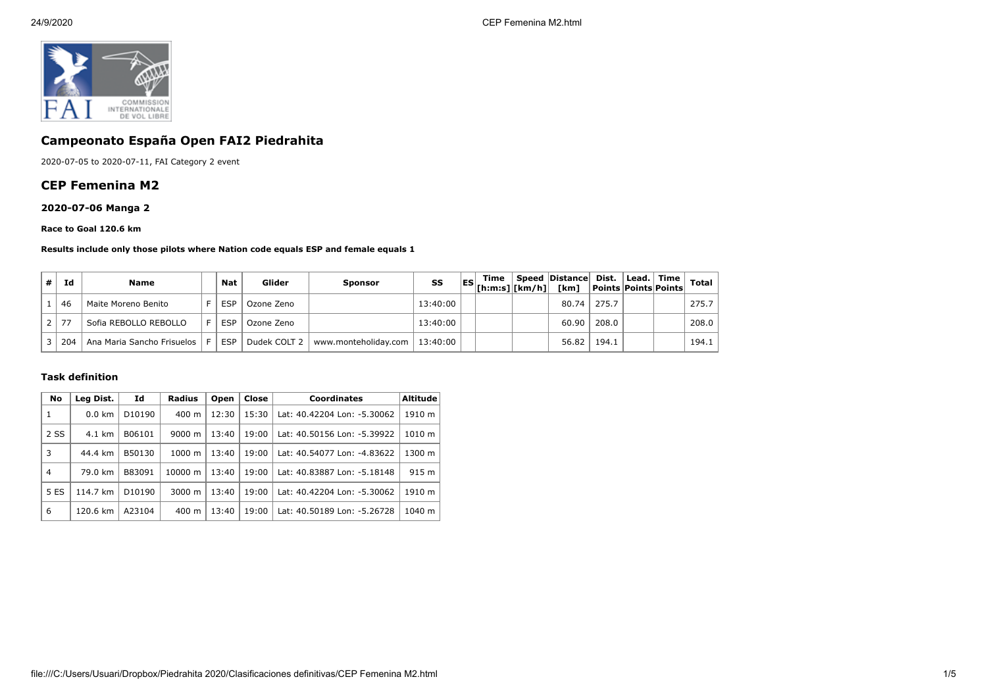

# **Campeonato España Open FAI2 Piedrahita**

2020-07-05 to 2020-07-11, FAI Category 2 event

## **CEP Femenina M2**

## **2020-07-06 Manga 2**

#### **Race to Goal 120.6 km**

#### **Results include only those pilots where Nation code equals ESP and female equals 1**

| #              | Id  | <b>Name</b>                | <b>Nat</b> | Glider       | Sponsor              | SS       | Time<br>$\begin{bmatrix} \text{ES} \\ \text{[h:m:s]} \end{bmatrix}$ [km/h] [km] | Speed Distance Dist. | Points Points Points | Lead.   Time | <b>Total</b> |
|----------------|-----|----------------------------|------------|--------------|----------------------|----------|---------------------------------------------------------------------------------|----------------------|----------------------|--------------|--------------|
|                | 46  | Maite Moreno Benito        | <b>ESP</b> | Ozone Zeno   |                      | 13:40:00 |                                                                                 | 80.74                | 275.7                |              | 275.7        |
| 2 <sup>1</sup> | 77  | Sofia REBOLLO REBOLLO      | <b>ESP</b> | Ozone Zeno   |                      | 13:40:00 |                                                                                 | 60.90                | 208.0                |              | 208.0        |
|                | 204 | Ana Maria Sancho Frisuelos | <b>ESP</b> | Dudek COLT 2 | www.monteholiday.com | 13:40:00 |                                                                                 | 56.82                | 194.1                |              | 194.1        |

#### **Task definition**

| <b>No</b>      | Leg Dist.        | Id                 | <b>Radius</b>      | Open  | Close | <b>Coordinates</b>          | <b>Altitude</b> |
|----------------|------------------|--------------------|--------------------|-------|-------|-----------------------------|-----------------|
| 1              | $0.0 \text{ km}$ | D10190             | 400 m              | 12:30 | 15:30 | Lat: 40.42204 Lon: -5.30062 | 1910 m          |
| 2 SS           | 4.1 km           | B06101             | 9000 m             | 13:40 | 19:00 | Lat: 40.50156 Lon: -5.39922 | 1010 m          |
| 3              | 44.4 km          | B50130             | $1000 \;{\rm m}$   | 13:40 | 19:00 | Lat: 40.54077 Lon: -4.83622 | 1300 m          |
| $\overline{4}$ | 79.0 km          | B83091             | 10000 m            | 13:40 | 19:00 | Lat: 40.83887 Lon: -5.18148 | 915 m           |
| 5 ES           | 114.7 km         | D <sub>10190</sub> | $3000 \; \text{m}$ | 13:40 | 19:00 | Lat: 40.42204 Lon: -5.30062 | 1910 m          |
| 6              | 120.6 km         | A23104             | 400 m              | 13:40 | 19:00 | Lat: 40.50189 Lon: -5.26728 | 1040 m          |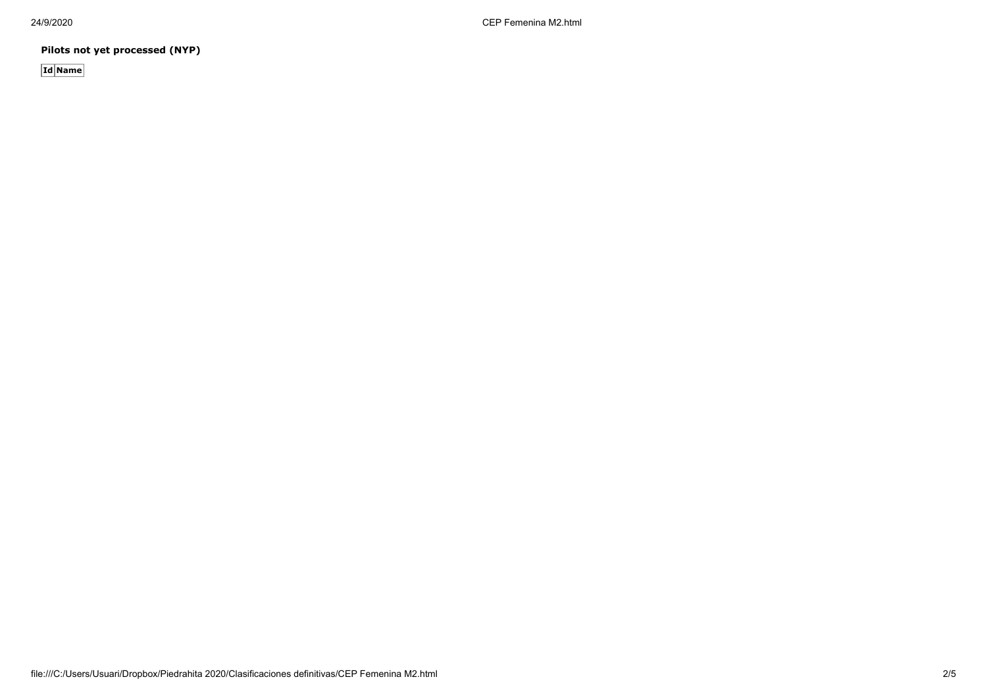24/9/2020 CEP Femenina M2.html

**Pilots not yet processed (NYP)**

**Id Name**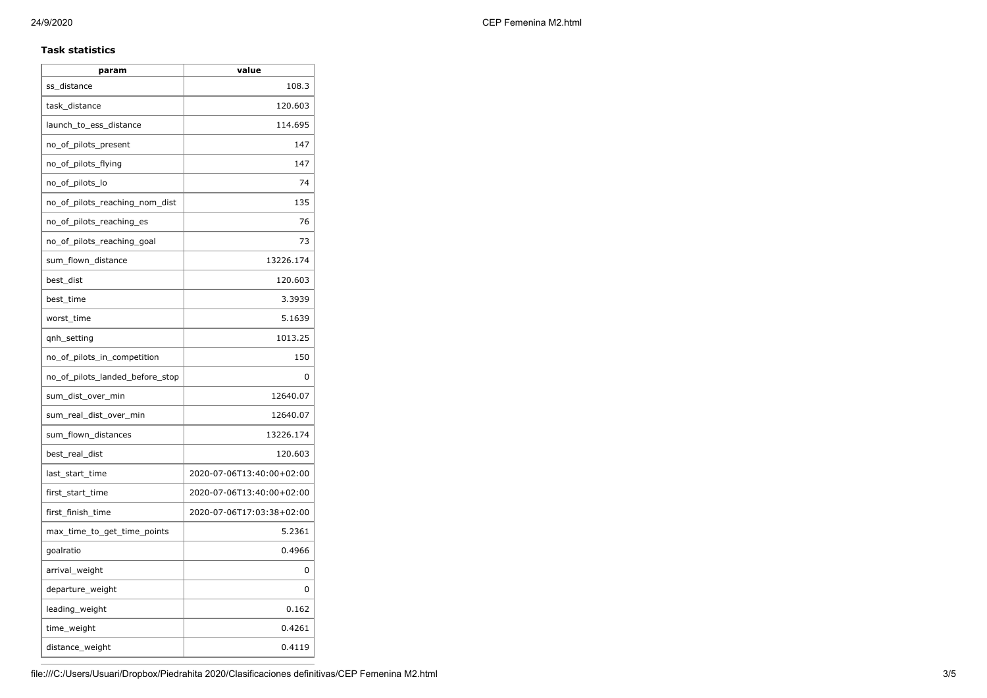## **Task statistics**

| param                           | value                     |
|---------------------------------|---------------------------|
| ss_distance                     | 108.3                     |
| task_distance                   | 120.603                   |
| launch_to_ess_distance          | 114.695                   |
| no_of_pilots_present            | 147                       |
| no_of_pilots_flying             | 147                       |
| no_of_pilots_lo                 | 74                        |
| no_of_pilots_reaching_nom_dist  | 135                       |
| no_of_pilots_reaching_es        | 76                        |
| no_of_pilots_reaching_goal      | 73                        |
| sum_flown_distance              | 13226.174                 |
| best dist                       | 120.603                   |
| best time                       | 3.3939                    |
| worst_time                      | 5.1639                    |
| qnh_setting                     | 1013.25                   |
| no_of_pilots_in_competition     | 150                       |
| no_of_pilots_landed_before_stop | 0                         |
| sum_dist_over_min               | 12640.07                  |
| sum_real_dist_over_min          | 12640.07                  |
| sum_flown_distances             | 13226.174                 |
| best_real_dist                  | 120.603                   |
| last_start_time                 | 2020-07-06T13:40:00+02:00 |
| first_start_time                | 2020-07-06T13:40:00+02:00 |
| first_finish_time               | 2020-07-06T17:03:38+02:00 |
| max_time_to_get_time_points     | 5.2361                    |
| goalratio                       | 0.4966                    |
| arrival_weight                  | 0                         |
| departure_weight                | 0                         |
| leading_weight                  | 0.162                     |
| time_weight                     | 0.4261                    |
| distance_weight                 | 0.4119                    |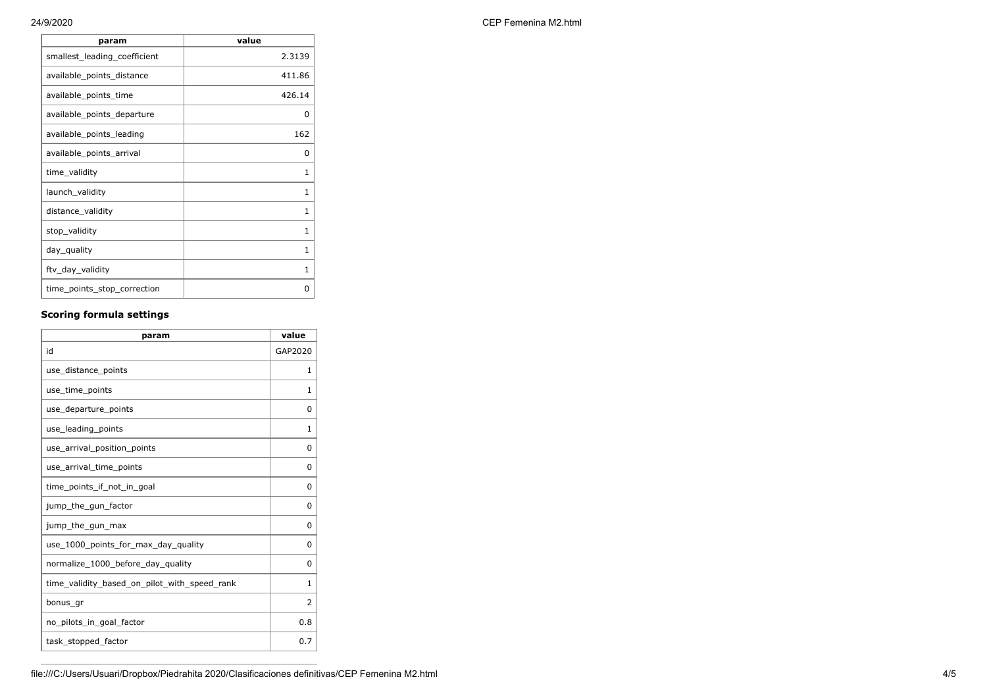| 24/9/2020 | CEP Femenina M2.html |
|-----------|----------------------|
|-----------|----------------------|

| param                        | value  |
|------------------------------|--------|
| smallest_leading_coefficient | 2.3139 |
| available_points_distance    | 411.86 |
| available_points_time        | 426.14 |
| available_points_departure   | O      |
| available_points_leading     | 162    |
| available_points_arrival     | O      |
| time_validity                | 1      |
| launch_validity              | 1      |
| distance_validity            | 1      |
| stop_validity                | 1      |
| day_quality                  | 1      |
| ftv_day_validity             | 1      |
| time_points_stop_correction  | ŋ      |

# **Scoring formula settings**

| param                                        | value          |
|----------------------------------------------|----------------|
| id                                           | GAP2020        |
| use_distance_points                          | 1              |
| use_time_points                              | 1              |
| use_departure_points                         | $\Omega$       |
| use_leading_points                           | 1              |
| use_arrival_position_points                  | 0              |
| use_arrival_time_points                      | 0              |
| time points if not in goal                   | $\Omega$       |
| jump_the_gun_factor                          | $\Omega$       |
| jump_the_gun_max                             | 0              |
| use 1000 points for max day quality          | 0              |
| normalize_1000_before_day_quality            | 0              |
| time_validity_based_on_pilot_with_speed_rank | $\mathbf{1}$   |
| bonus gr                                     | $\overline{2}$ |
| no_pilots_in_goal_factor                     | 0.8            |
| task_stopped_factor                          | 0.7            |